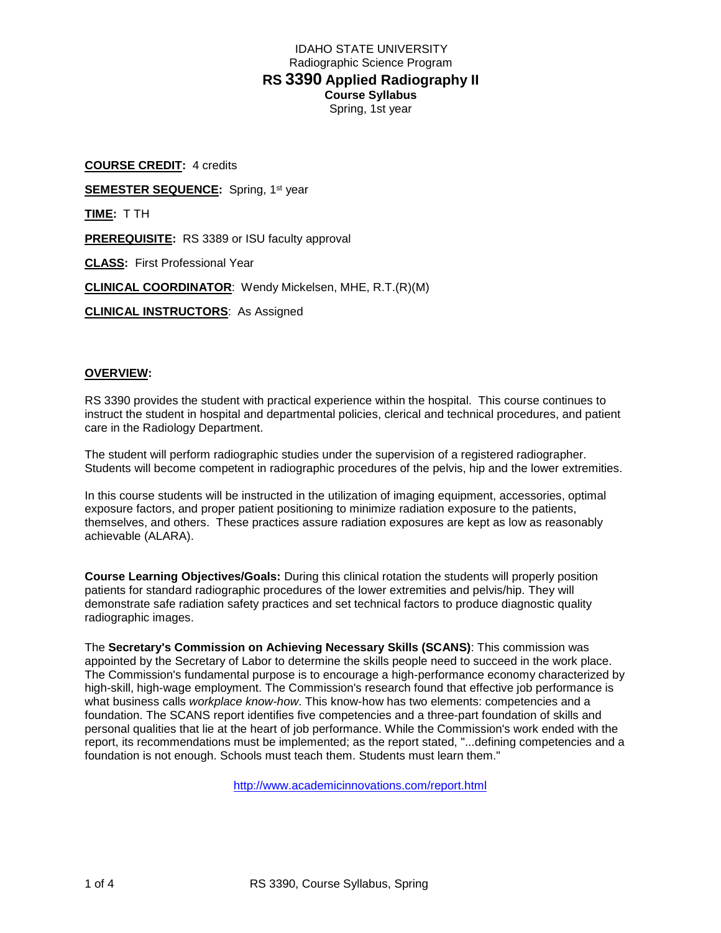**COURSE CREDIT:** 4 credits **SEMESTER SEQUENCE:** Spring, 1st year **TIME:** T TH **PREREQUISITE:** RS 3389 or ISU faculty approval **CLASS:** First Professional Year **CLINICAL COORDINATOR**: Wendy Mickelsen, MHE, R.T.(R)(M) **CLINICAL INSTRUCTORS**: As Assigned

# **OVERVIEW:**

RS 3390 provides the student with practical experience within the hospital. This course continues to instruct the student in hospital and departmental policies, clerical and technical procedures, and patient care in the Radiology Department.

The student will perform radiographic studies under the supervision of a registered radiographer. Students will become competent in radiographic procedures of the pelvis, hip and the lower extremities.

In this course students will be instructed in the utilization of imaging equipment, accessories, optimal exposure factors, and proper patient positioning to minimize radiation exposure to the patients, themselves, and others. These practices assure radiation exposures are kept as low as reasonably achievable (ALARA).

**Course Learning Objectives/Goals:** During this clinical rotation the students will properly position patients for standard radiographic procedures of the lower extremities and pelvis/hip. They will demonstrate safe radiation safety practices and set technical factors to produce diagnostic quality radiographic images.

The **Secretary's Commission on Achieving Necessary Skills (SCANS)**: This commission was appointed by the Secretary of Labor to determine the skills people need to succeed in the work place. The Commission's fundamental purpose is to encourage a high-performance economy characterized by high-skill, high-wage employment. The Commission's research found that effective job performance is what business calls *workplace know-how*. This know-how has two elements: competencies and a foundation. The SCANS report identifies five competencies and a three-part foundation of skills and personal qualities that lie at the heart of job performance. While the Commission's work ended with the report, its recommendations must be implemented; as the report stated, "...defining competencies and a foundation is not enough. Schools must teach them. Students must learn them."

<http://www.academicinnovations.com/report.html>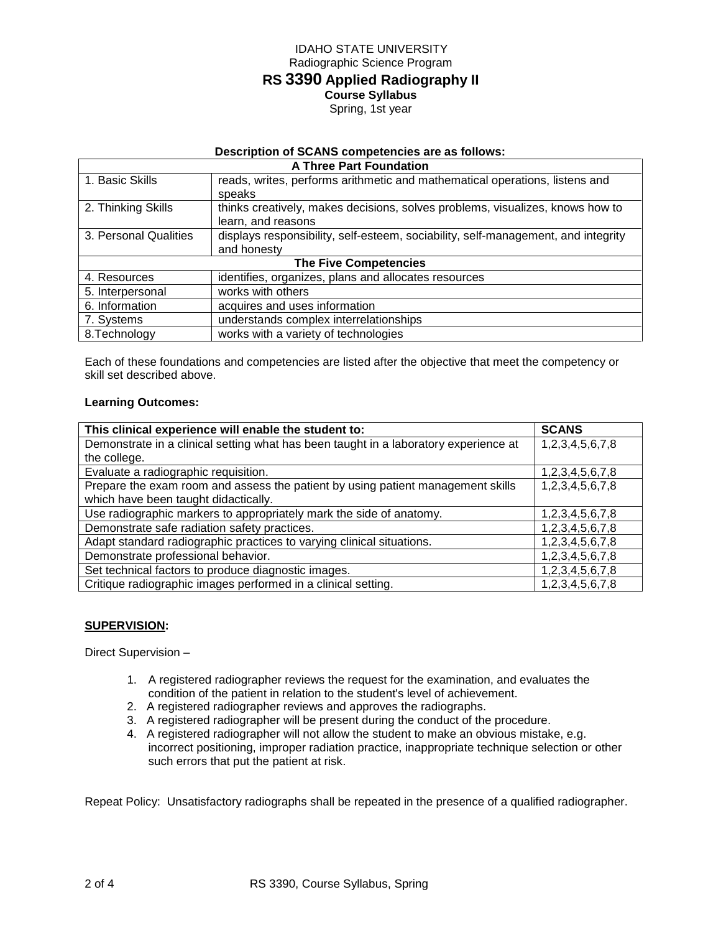# **Description of SCANS competencies are as follows:**

| <b>A Three Part Foundation</b> |                                                                                   |  |  |  |
|--------------------------------|-----------------------------------------------------------------------------------|--|--|--|
| 1. Basic Skills                | reads, writes, performs arithmetic and mathematical operations, listens and       |  |  |  |
|                                | speaks                                                                            |  |  |  |
| 2. Thinking Skills             | thinks creatively, makes decisions, solves problems, visualizes, knows how to     |  |  |  |
|                                | learn, and reasons                                                                |  |  |  |
| 3. Personal Qualities          | displays responsibility, self-esteem, sociability, self-management, and integrity |  |  |  |
|                                | and honesty                                                                       |  |  |  |
| <b>The Five Competencies</b>   |                                                                                   |  |  |  |
| 4. Resources                   | identifies, organizes, plans and allocates resources                              |  |  |  |
| 5. Interpersonal               | works with others                                                                 |  |  |  |
| 6. Information                 | acquires and uses information                                                     |  |  |  |
| 7. Systems                     | understands complex interrelationships                                            |  |  |  |
| 8. Technology                  | works with a variety of technologies                                              |  |  |  |

Each of these foundations and competencies are listed after the objective that meet the competency or skill set described above.

# **Learning Outcomes:**

| This clinical experience will enable the student to:                                 | <b>SCANS</b>    |
|--------------------------------------------------------------------------------------|-----------------|
| Demonstrate in a clinical setting what has been taught in a laboratory experience at | 1,2,3,4,5,6,7,8 |
| the college.                                                                         |                 |
| Evaluate a radiographic requisition.                                                 | 1,2,3,4,5,6,7,8 |
| Prepare the exam room and assess the patient by using patient management skills      | 1,2,3,4,5,6,7,8 |
| which have been taught didactically.                                                 |                 |
| Use radiographic markers to appropriately mark the side of anatomy.                  | 1,2,3,4,5,6,7,8 |
| Demonstrate safe radiation safety practices.                                         | 1,2,3,4,5,6,7,8 |
| Adapt standard radiographic practices to varying clinical situations.                | 1,2,3,4,5,6,7,8 |
| Demonstrate professional behavior.                                                   | 1,2,3,4,5,6,7,8 |
| Set technical factors to produce diagnostic images.                                  | 1,2,3,4,5,6,7,8 |
| Critique radiographic images performed in a clinical setting.                        | 1,2,3,4,5,6,7,8 |

### **SUPERVISION:**

Direct Supervision –

- 1. A registered radiographer reviews the request for the examination, and evaluates the condition of the patient in relation to the student's level of achievement.
- 2. A registered radiographer reviews and approves the radiographs.
- 3. A registered radiographer will be present during the conduct of the procedure.
- 4. A registered radiographer will not allow the student to make an obvious mistake, e.g. incorrect positioning, improper radiation practice, inappropriate technique selection or other such errors that put the patient at risk.

Repeat Policy: Unsatisfactory radiographs shall be repeated in the presence of a qualified radiographer.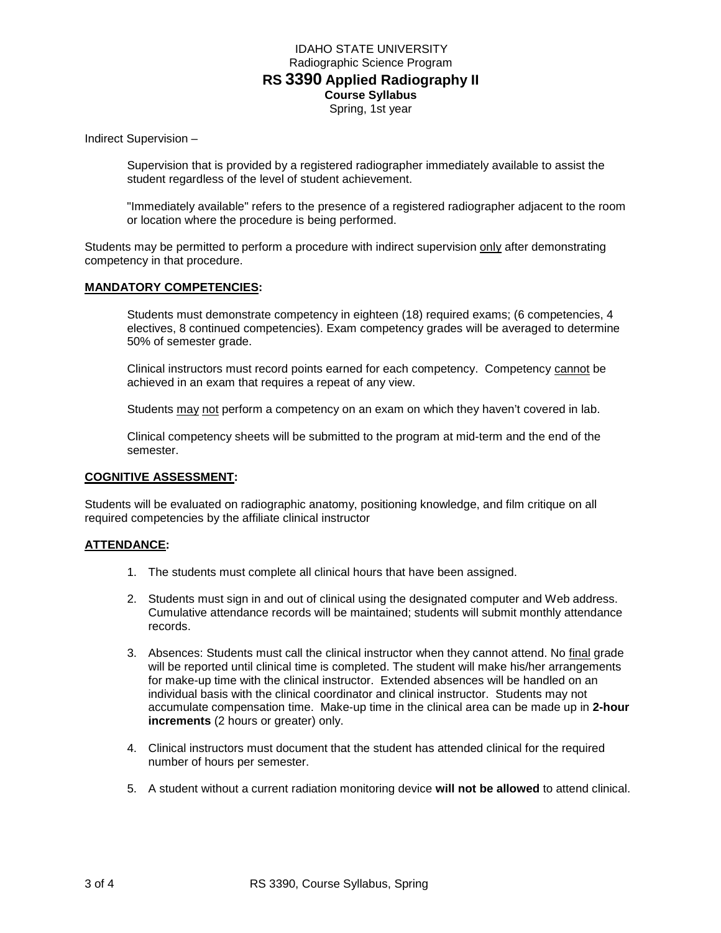Indirect Supervision –

Supervision that is provided by a registered radiographer immediately available to assist the student regardless of the level of student achievement.

"Immediately available" refers to the presence of a registered radiographer adjacent to the room or location where the procedure is being performed.

Students may be permitted to perform a procedure with indirect supervision only after demonstrating competency in that procedure.

### **MANDATORY COMPETENCIES:**

Students must demonstrate competency in eighteen (18) required exams; (6 competencies, 4 electives, 8 continued competencies). Exam competency grades will be averaged to determine 50% of semester grade.

Clinical instructors must record points earned for each competency. Competency cannot be achieved in an exam that requires a repeat of any view.

Students may not perform a competency on an exam on which they haven't covered in lab.

Clinical competency sheets will be submitted to the program at mid-term and the end of the semester.

#### **COGNITIVE ASSESSMENT:**

Students will be evaluated on radiographic anatomy, positioning knowledge, and film critique on all required competencies by the affiliate clinical instructor

### **ATTENDANCE:**

- 1. The students must complete all clinical hours that have been assigned.
- 2. Students must sign in and out of clinical using the designated computer and Web address. Cumulative attendance records will be maintained; students will submit monthly attendance records.
- 3. Absences: Students must call the clinical instructor when they cannot attend. No final grade will be reported until clinical time is completed. The student will make his/her arrangements for make-up time with the clinical instructor. Extended absences will be handled on an individual basis with the clinical coordinator and clinical instructor. Students may not accumulate compensation time. Make-up time in the clinical area can be made up in **2-hour increments** (2 hours or greater) only.
- 4. Clinical instructors must document that the student has attended clinical for the required number of hours per semester.
- 5. A student without a current radiation monitoring device **will not be allowed** to attend clinical.